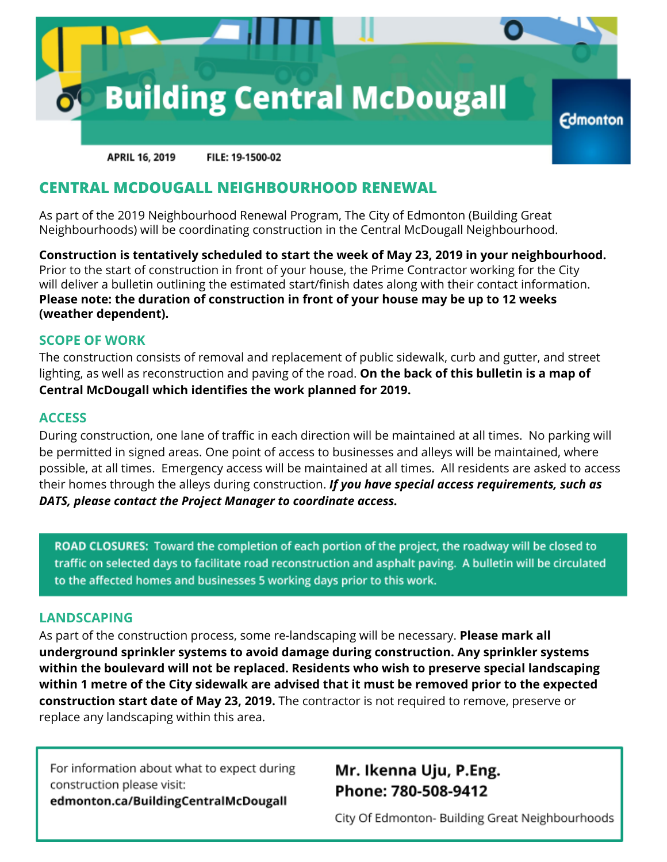

**APRIL 16, 2019** FILE: 19-1500-02

## **CENTRAL MCDOUGALL NEIGHBOURHOOD RENEWAL**

As part of the 2019 Neighbourhood Renewal Program, The City of Edmonton (Building Great Neighbourhoods) will be coordinating construction in the Central McDougall Neighbourhood.

**Construction is tentatively scheduled to start the week of May 23, 2019 in your neighbourhood.** Prior to the start of construction in front of your house, the Prime Contractor working for the City will deliver a bulletin outlining the estimated start/finish dates along with their contact information. **Please note: the duration of construction in front of your house may be up to 12 weeks (weather dependent).**

#### **SCOPE OF WORK**

The construction consists of removal and replacement of public sidewalk, curb and gutter, and street lighting, as well as reconstruction and paving of the road. **On the back of this bulletin is a map of Central McDougall which identifies the work planned for 2019.**

#### **ACCESS**

During construction, one lane of traffic in each direction will be maintained at all times. No parking will be permitted in signed areas. One point of access to businesses and alleys will be maintained, where possible, at all times. Emergency access will be maintained at all times. All residents are asked to access their homes through the alleys during construction. *If you have special access requirements, such as DATS, please contact the Project Manager to coordinate access.*

ROAD CLOSURES: Toward the completion of each portion of the project, the roadway will be closed to traffic on selected days to facilitate road reconstruction and asphalt paving. A bulletin will be circulated to the affected homes and businesses 5 working days prior to this work.

### **LANDSCAPING**

As part of the construction process, some re-landscaping will be necessary. **Please mark all underground sprinkler systems to avoid damage during construction. Any sprinkler systems within the boulevard will not be replaced. Residents who wish to preserve special landscaping within 1 metre of the City sidewalk are advised that it must be removed prior to the expected construction start date of May 23, 2019.** The contractor is not required to remove, preserve or replace any landscaping within this area.

For information about what to expect during construction please visit: edmonton.ca/BuildingCentralMcDougall

# Mr. Ikenna Uju, P.Eng. Phone: 780-508-9412

City Of Edmonton- Building Great Neighbourhoods